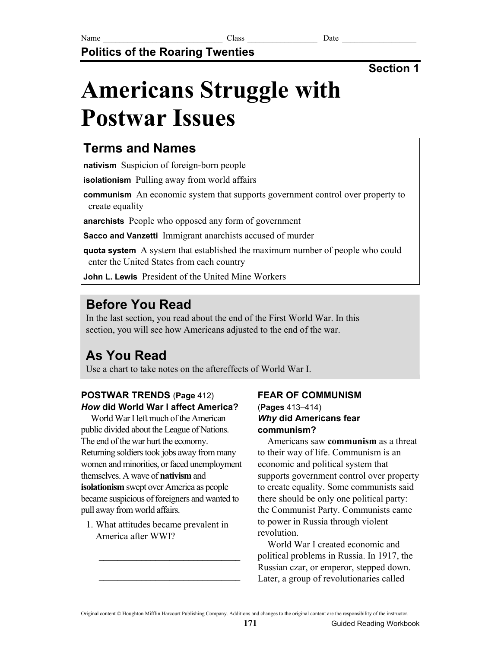**Politics of the Roaring Twenties**

## **Section 1**

# **Americans Struggle with Postwar Issues**

# **Terms and Names**

**nativism** Suspicion of foreign-born people

**isolationism** Pulling away from world affairs

**communism** An economic system that supports government control over property to create equality

**anarchists** People who opposed any form of government

**Sacco and Vanzetti** Immigrant anarchists accused of murder

**quota system** A system that established the maximum number of people who could enter the United States from each country

**John L. Lewis** President of the United Mine Workers

# **Before You Read**

In the last section, you read about the end of the First World War. In this section, you will see how Americans adjusted to the end of the war.

# **As You Read**

Use a chart to take notes on the aftereffects of World War I.

## **POSTWAR TRENDS** (**Page** 412) *How* **did World War I affect America?**

World War I left much of the American public divided about the League of Nations. The end of the war hurt the economy. Returning soldiers took jobs away from many women and minorities, or faced unemployment themselves. A wave of **nativism** and **isolationism** swept over America as people became suspicious of foreigners and wanted to pull away from world affairs.

 1. What attitudes became prevalent in America after WWI?

 $\overline{\phantom{a}}$  , where  $\overline{\phantom{a}}$  , where  $\overline{\phantom{a}}$  , where  $\overline{\phantom{a}}$ 

 $\overline{\phantom{a}}$  , where  $\overline{\phantom{a}}$  , where  $\overline{\phantom{a}}$  , where  $\overline{\phantom{a}}$ 

## **FEAR OF COMMUNISM**  (**Pages** 413–414) *Why* **did Americans fear communism?**

Americans saw **communism** as a threat to their way of life. Communism is an economic and political system that supports government control over property to create equality. Some communists said there should be only one political party: the Communist Party. Communists came to power in Russia through violent revolution.

World War I created economic and political problems in Russia. In 1917, the Russian czar, or emperor, stepped down. Later, a group of revolutionaries called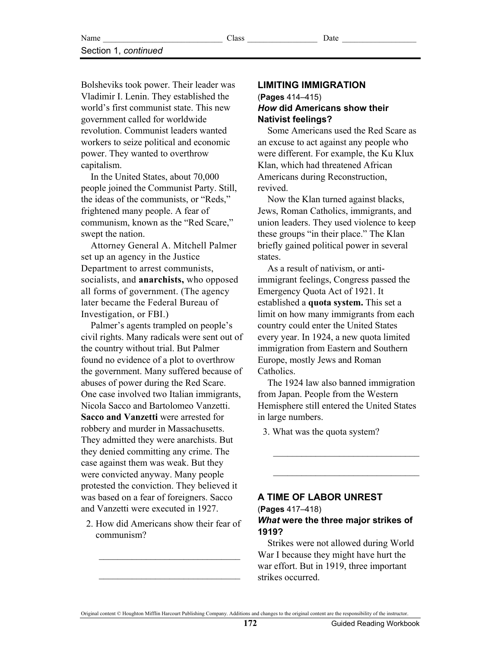Bolsheviks took power. Their leader was Vladimir I. Lenin. They established the world's first communist state. This new government called for worldwide revolution. Communist leaders wanted workers to seize political and economic power. They wanted to overthrow capitalism.

In the United States, about 70,000 people joined the Communist Party. Still, the ideas of the communists, or "Reds," frightened many people. A fear of communism, known as the "Red Scare," swept the nation.

Attorney General A. Mitchell Palmer set up an agency in the Justice Department to arrest communists, socialists, and **anarchists,** who opposed all forms of government. (The agency later became the Federal Bureau of Investigation, or FBI.)

Palmer's agents trampled on people's civil rights. Many radicals were sent out of the country without trial. But Palmer found no evidence of a plot to overthrow the government. Many suffered because of abuses of power during the Red Scare. One case involved two Italian immigrants, Nicola Sacco and Bartolomeo Vanzetti. **Sacco and Vanzetti** were arrested for robbery and murder in Massachusetts. They admitted they were anarchists. But they denied committing any crime. The case against them was weak. But they were convicted anyway. Many people protested the conviction. They believed it was based on a fear of foreigners. Sacco and Vanzetti were executed in 1927.

 2. How did Americans show their fear of communism?

 $\mathcal{L}_\text{max}$ 

 $\mathcal{L}_\text{max}$ 

#### **LIMITING IMMIGRATION**

#### (**Pages** 414–415) *How* **did Americans show their Nativist feelings?**

Some Americans used the Red Scare as an excuse to act against any people who were different. For example, the Ku Klux Klan, which had threatened African Americans during Reconstruction, revived.

Now the Klan turned against blacks, Jews, Roman Catholics, immigrants, and union leaders. They used violence to keep these groups "in their place." The Klan briefly gained political power in several states.

As a result of nativism, or antiimmigrant feelings, Congress passed the Emergency Quota Act of 1921. It established a **quota system.** This set a limit on how many immigrants from each country could enter the United States every year. In 1924, a new quota limited immigration from Eastern and Southern Europe, mostly Jews and Roman Catholics.

The 1924 law also banned immigration from Japan. People from the Western Hemisphere still entered the United States in large numbers.

 $\mathcal{L}_\text{max}$ 

 $\mathcal{L}_\text{max}$ 

3. What was the quota system?

#### **A TIME OF LABOR UNREST**

(**Pages** 417–418)

### *What* **were the three major strikes of 1919?**

Strikes were not allowed during World War I because they might have hurt the war effort. But in 1919, three important strikes occurred.

Original content © Houghton Mifflin Harcourt Publishing Company. Additions and changes to the original content are the responsibility of the instructor.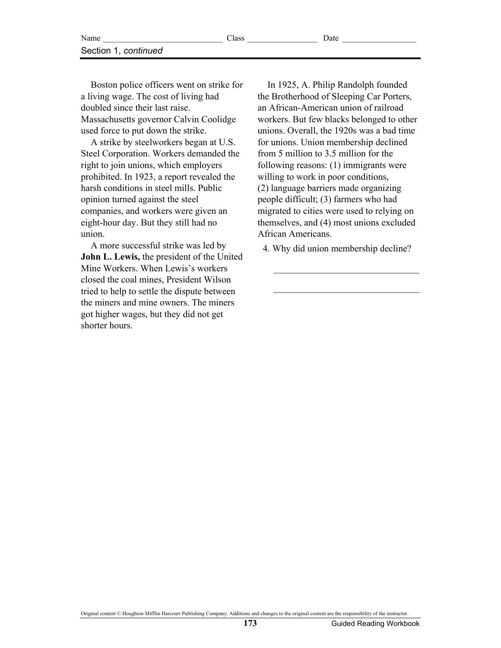| Name                 | lass | Date |
|----------------------|------|------|
| Section 1, continued |      |      |

Boston police officers went on strike for a living wage. The cost of living had doubled since their last raise. Massachusetts governor Calvin Coolidge used force to put down the strike.

A strike by steelworkers began at U.S. Steel Corporation. Workers demanded the right to join unions, which employers prohibited. In 1923, a report revealed the harsh conditions in steel mills. Public opinion turned against the steel companies, and workers were given an eight-hour day. But they still had no union.

A more successful strike was led by **John L. Lewis,** the president of the United Mine Workers. When Lewis's workers closed the coal mines, President Wilson tried to help to settle the dispute between the miners and mine owners. The miners got higher wages, but they did not get shorter hours.

In 1925, A. Philip Randolph founded the Brotherhood of Sleeping Car Porters, an African-American union of railroad workers. But few blacks belonged to other unions. Overall, the 1920s was a bad time for unions. Union membership declined from 5 million to 3.5 million for the following reasons: (1) immigrants were willing to work in poor conditions, (2) language barriers made organizing people difficult; (3) farmers who had migrated to cities were used to relying on themselves, and (4) most unions excluded African Americans.

4. Why did union membership decline?

\_\_\_\_\_\_\_\_\_\_\_\_\_\_\_\_\_\_\_\_\_\_\_\_\_\_\_\_\_\_\_

\_\_\_\_\_\_\_\_\_\_\_\_\_\_\_\_\_\_\_\_\_\_\_\_\_\_\_\_\_\_\_